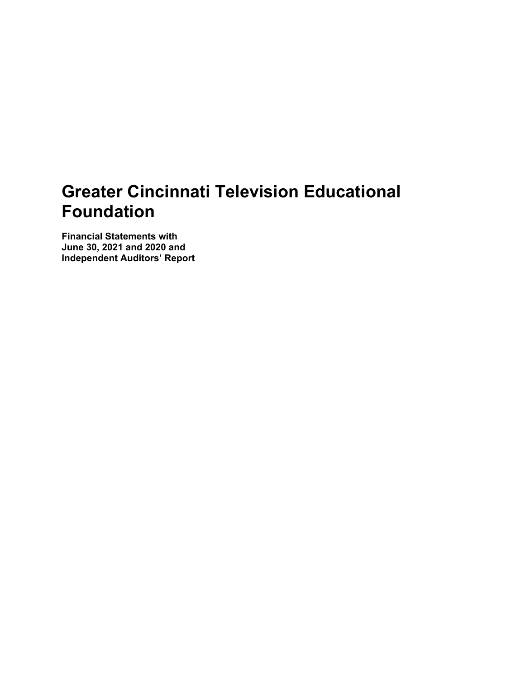# **Greater Cincinnati Television Educational Foundation**

**Financial Statements with June 30, 2021 and 2020 and Independent Auditors' Report**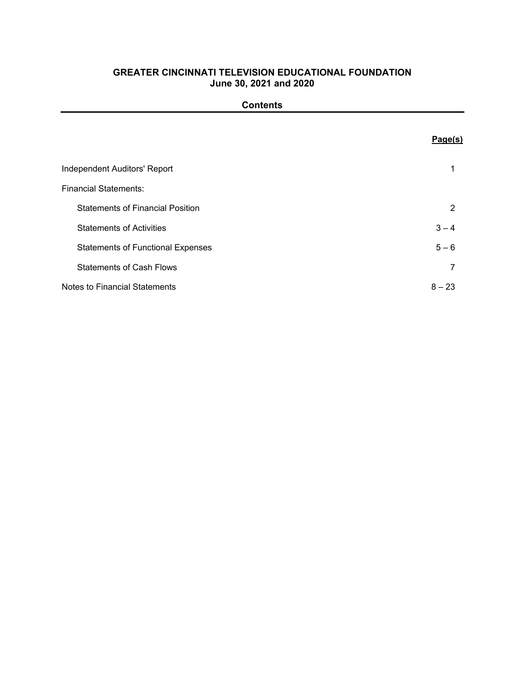## **GREATER CINCINNATI TELEVISION EDUCATIONAL FOUNDATION June 30, 2021 and 2020**

| <b>Contents</b>                          |                |  |  |  |
|------------------------------------------|----------------|--|--|--|
|                                          | Page(s)        |  |  |  |
| Independent Auditors' Report             | 1              |  |  |  |
| <b>Financial Statements:</b>             |                |  |  |  |
| <b>Statements of Financial Position</b>  | $\overline{2}$ |  |  |  |
| <b>Statements of Activities</b>          | $3 - 4$        |  |  |  |
| <b>Statements of Functional Expenses</b> | $5 - 6$        |  |  |  |
| <b>Statements of Cash Flows</b>          | 7              |  |  |  |
| Notes to Financial Statements            | $8 - 23$       |  |  |  |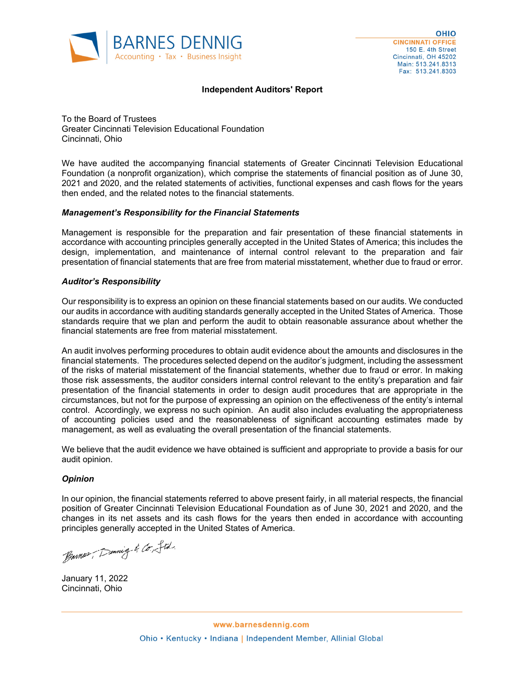

#### **Independent Auditors' Report**

To the Board of Trustees Greater Cincinnati Television Educational Foundation Cincinnati, Ohio

We have audited the accompanying financial statements of Greater Cincinnati Television Educational Foundation (a nonprofit organization), which comprise the statements of financial position as of June 30, 2021 and 2020, and the related statements of activities, functional expenses and cash flows for the years then ended, and the related notes to the financial statements.

#### *Management's Responsibility for the Financial Statements*

Management is responsible for the preparation and fair presentation of these financial statements in accordance with accounting principles generally accepted in the United States of America; this includes the design, implementation, and maintenance of internal control relevant to the preparation and fair presentation of financial statements that are free from material misstatement, whether due to fraud or error.

#### *Auditor's Responsibility*

Our responsibility is to express an opinion on these financial statements based on our audits. We conducted our audits in accordance with auditing standards generally accepted in the United States of America. Those standards require that we plan and perform the audit to obtain reasonable assurance about whether the financial statements are free from material misstatement.

An audit involves performing procedures to obtain audit evidence about the amounts and disclosures in the financial statements. The procedures selected depend on the auditor's judgment, including the assessment of the risks of material misstatement of the financial statements, whether due to fraud or error. In making those risk assessments, the auditor considers internal control relevant to the entity's preparation and fair presentation of the financial statements in order to design audit procedures that are appropriate in the circumstances, but not for the purpose of expressing an opinion on the effectiveness of the entity's internal control. Accordingly, we express no such opinion. An audit also includes evaluating the appropriateness of accounting policies used and the reasonableness of significant accounting estimates made by management, as well as evaluating the overall presentation of the financial statements.

We believe that the audit evidence we have obtained is sufficient and appropriate to provide a basis for our audit opinion.

#### *Opinion*

In our opinion, the financial statements referred to above present fairly, in all material respects, the financial position of Greater Cincinnati Television Educational Foundation as of June 30, 2021 and 2020, and the changes in its net assets and its cash flows for the years then ended in accordance with accounting principles generally accepted in the United States of America.

Pennes, Dennig & Co., Std.

January 11, 2022 Cincinnati, Ohio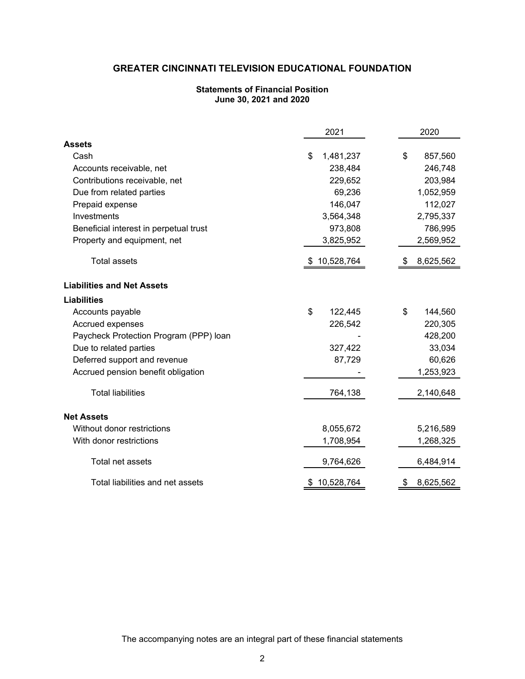#### **Statements of Financial Position June 30, 2021 and 2020**

|                                        | 2021            | 2020            |  |
|----------------------------------------|-----------------|-----------------|--|
| <b>Assets</b>                          |                 |                 |  |
| Cash                                   | \$<br>1,481,237 | \$<br>857,560   |  |
| Accounts receivable, net               | 238,484         | 246,748         |  |
| Contributions receivable, net          | 229,652         | 203,984         |  |
| Due from related parties               | 69,236          | 1,052,959       |  |
| Prepaid expense                        | 146,047         | 112,027         |  |
| Investments                            | 3,564,348       | 2,795,337       |  |
| Beneficial interest in perpetual trust | 973,808         | 786,995         |  |
| Property and equipment, net            | 3,825,952       | 2,569,952       |  |
| <b>Total assets</b>                    | \$10,528,764    | 8,625,562<br>\$ |  |
| <b>Liabilities and Net Assets</b>      |                 |                 |  |
| <b>Liabilities</b>                     |                 |                 |  |
| Accounts payable                       | \$<br>122,445   | \$<br>144,560   |  |
| Accrued expenses                       | 226,542         | 220,305         |  |
| Paycheck Protection Program (PPP) loan |                 | 428,200         |  |
| Due to related parties                 | 327,422         | 33,034          |  |
| Deferred support and revenue           | 87,729          | 60,626          |  |
| Accrued pension benefit obligation     |                 | 1,253,923       |  |
| <b>Total liabilities</b>               | 764,138         | 2,140,648       |  |
| <b>Net Assets</b>                      |                 |                 |  |
| Without donor restrictions             | 8,055,672       | 5,216,589       |  |
| With donor restrictions                | 1,708,954       | 1,268,325       |  |
| Total net assets                       | 9,764,626       | 6,484,914       |  |
| Total liabilities and net assets       | 10,528,764      | 8,625,562       |  |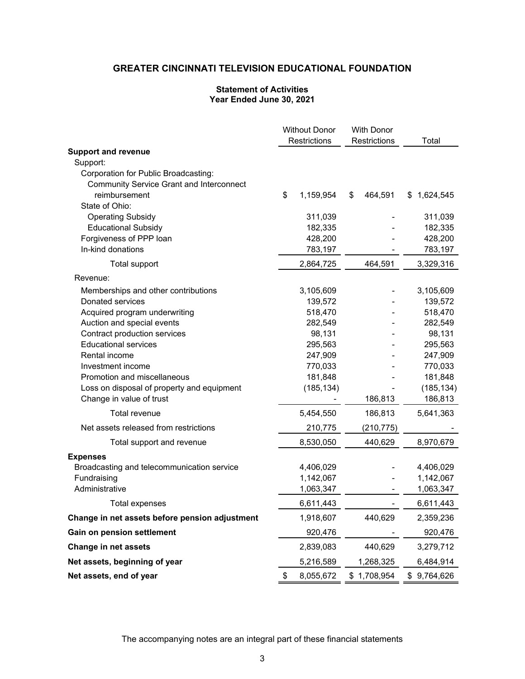#### **Statement of Activities Year Ended June 30, 2021**

|                                                 | <b>Without Donor</b><br><b>With Donor</b><br>Restrictions<br>Restrictions |            | Total         |                 |         |
|-------------------------------------------------|---------------------------------------------------------------------------|------------|---------------|-----------------|---------|
| <b>Support and revenue</b>                      |                                                                           |            |               |                 |         |
| Support:                                        |                                                                           |            |               |                 |         |
| Corporation for Public Broadcasting:            |                                                                           |            |               |                 |         |
| <b>Community Service Grant and Interconnect</b> |                                                                           |            |               |                 |         |
| reimbursement                                   | \$                                                                        | 1,159,954  | \$<br>464,591 | 1,624,545<br>\$ |         |
| State of Ohio:                                  |                                                                           |            |               |                 |         |
| <b>Operating Subsidy</b>                        |                                                                           | 311,039    |               | 311,039         |         |
| <b>Educational Subsidy</b>                      |                                                                           | 182,335    |               | 182,335         |         |
| Forgiveness of PPP loan                         |                                                                           | 428,200    |               | 428,200         |         |
| In-kind donations                               |                                                                           | 783,197    |               | 783,197         |         |
| Total support                                   |                                                                           | 2,864,725  | 464,591       | 3,329,316       |         |
| Revenue:                                        |                                                                           |            |               |                 |         |
| Memberships and other contributions             |                                                                           | 3,105,609  |               | 3,105,609       |         |
| Donated services                                |                                                                           | 139,572    |               | 139,572         |         |
| Acquired program underwriting                   |                                                                           | 518,470    |               | 518,470         |         |
| Auction and special events                      |                                                                           | 282,549    |               | 282,549         |         |
| Contract production services                    |                                                                           | 98,131     |               |                 | 98,131  |
| <b>Educational services</b>                     |                                                                           | 295,563    |               | 295,563         |         |
| Rental income                                   |                                                                           | 247,909    |               | 247,909         |         |
| Investment income                               |                                                                           | 770,033    |               | 770,033         |         |
| Promotion and miscellaneous                     |                                                                           | 181,848    |               | 181,848         |         |
| Loss on disposal of property and equipment      |                                                                           | (185, 134) |               | (185, 134)      |         |
| Change in value of trust                        |                                                                           |            | 186,813       |                 | 186,813 |
| Total revenue                                   |                                                                           | 5,454,550  | 186,813       | 5,641,363       |         |
| Net assets released from restrictions           |                                                                           | 210,775    | (210,775)     |                 |         |
| Total support and revenue                       |                                                                           | 8,530,050  | 440,629       | 8,970,679       |         |
| <b>Expenses</b>                                 |                                                                           |            |               |                 |         |
| Broadcasting and telecommunication service      |                                                                           | 4,406,029  |               | 4,406,029       |         |
| Fundraising                                     |                                                                           | 1,142,067  |               | 1,142,067       |         |
| Administrative                                  |                                                                           | 1,063,347  |               | 1,063,347       |         |
| Total expenses                                  |                                                                           | 6,611,443  |               | 6,611,443       |         |
| Change in net assets before pension adjustment  |                                                                           | 1,918,607  | 440,629       | 2,359,236       |         |
| Gain on pension settlement                      |                                                                           | 920,476    |               | 920,476         |         |
| <b>Change in net assets</b>                     |                                                                           | 2,839,083  | 440,629       | 3,279,712       |         |
| Net assets, beginning of year                   |                                                                           | 5,216,589  | 1,268,325     | 6,484,914       |         |
| Net assets, end of year                         | \$                                                                        | 8,055,672  | \$1,708,954   | \$9,764,626     |         |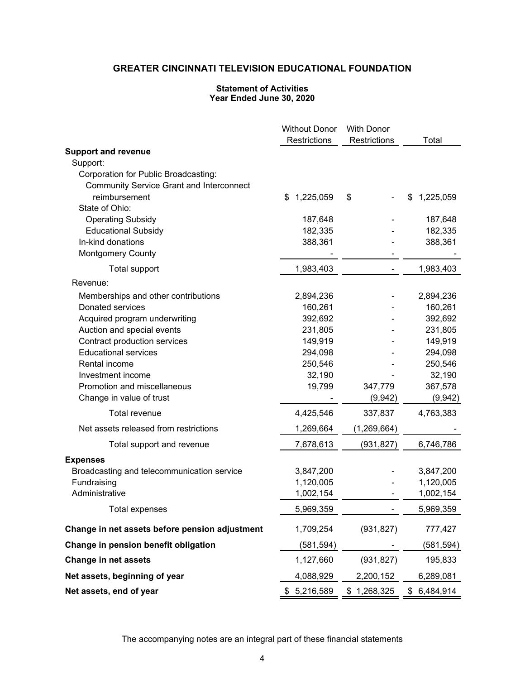## **Statement of Activities Year Ended June 30, 2020**

|                                                 | <b>Without Donor</b> | <b>With Donor</b> |                 |
|-------------------------------------------------|----------------------|-------------------|-----------------|
|                                                 | Restrictions         | Restrictions      | Total           |
| <b>Support and revenue</b>                      |                      |                   |                 |
| Support:                                        |                      |                   |                 |
| Corporation for Public Broadcasting:            |                      |                   |                 |
| <b>Community Service Grant and Interconnect</b> |                      |                   |                 |
| reimbursement                                   | 1,225,059<br>\$      | \$                | 1,225,059<br>\$ |
| State of Ohio:                                  |                      |                   |                 |
| <b>Operating Subsidy</b>                        | 187,648              |                   | 187,648         |
| <b>Educational Subsidy</b>                      | 182,335              |                   | 182,335         |
| In-kind donations                               | 388,361              |                   | 388,361         |
| <b>Montgomery County</b>                        |                      |                   |                 |
| <b>Total support</b>                            | 1,983,403            |                   | 1,983,403       |
| Revenue:                                        |                      |                   |                 |
| Memberships and other contributions             | 2,894,236            |                   | 2,894,236       |
| Donated services                                | 160,261              |                   | 160,261         |
| Acquired program underwriting                   | 392,692              |                   | 392,692         |
| Auction and special events                      | 231,805              |                   | 231,805         |
| Contract production services                    | 149,919              |                   | 149,919         |
| <b>Educational services</b>                     | 294,098              |                   | 294,098         |
| Rental income                                   | 250,546              |                   | 250,546         |
| Investment income                               | 32,190               |                   | 32,190          |
| Promotion and miscellaneous                     | 19,799               | 347,779           | 367,578         |
| Change in value of trust                        |                      | (9,942)           | (9,942)         |
| Total revenue                                   | 4,425,546            | 337,837           | 4,763,383       |
| Net assets released from restrictions           | 1,269,664            | (1, 269, 664)     |                 |
| Total support and revenue                       | 7,678,613            | (931, 827)        | 6,746,786       |
| <b>Expenses</b>                                 |                      |                   |                 |
| Broadcasting and telecommunication service      | 3,847,200            |                   | 3,847,200       |
| Fundraising                                     | 1,120,005            |                   | 1,120,005       |
| Administrative                                  | 1,002,154            |                   | 1,002,154       |
| Total expenses                                  | 5,969,359            |                   | 5,969,359       |
| Change in net assets before pension adjustment  | 1,709,254            | (931, 827)        | 777,427         |
| Change in pension benefit obligation            | (581, 594)           |                   | (581, 594)      |
| Change in net assets                            | 1,127,660            | (931, 827)        | 195,833         |
| Net assets, beginning of year                   | 4,088,929            | 2,200,152         | 6,289,081       |
| Net assets, end of year                         | 5,216,589<br>\$      | \$1,268,325       | \$<br>6,484,914 |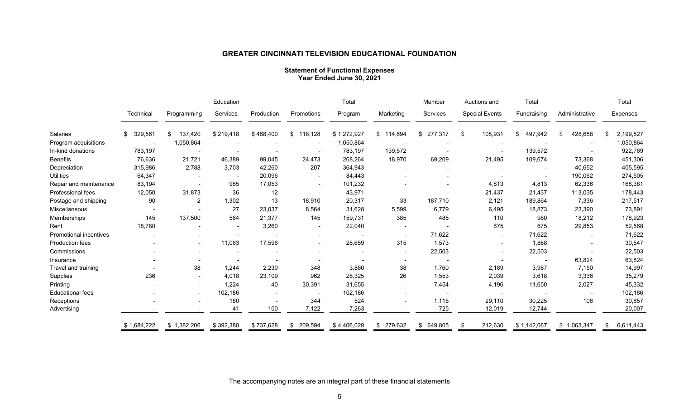|                         |               |                          | Education                |            |                          | Total       |                          | Member        | Auctions and             | Total         |                | Total            |
|-------------------------|---------------|--------------------------|--------------------------|------------|--------------------------|-------------|--------------------------|---------------|--------------------------|---------------|----------------|------------------|
|                         | Technical     | Programming              | Services                 | Production | Promotions               | Program     | Marketing                | Services      | <b>Special Events</b>    | Fundraising   | Administrative | <b>Expenses</b>  |
| Salaries                | 329,561<br>\$ | 137,420                  | \$219,418                | \$468,400  | 118,128<br>\$            | \$1,272,927 | \$114,694                | 277,317<br>\$ | \$<br>105,931            | \$<br>497,942 | 428,658<br>\$  | 2,199,527<br>\$. |
| Program acquisitions    |               | 1,050,864                |                          |            |                          | 1,050,864   |                          |               |                          |               |                | 1,050,864        |
| In-kind donations       | 783,197       |                          |                          |            |                          | 783,197     | 139,572                  |               |                          | 139,572       |                | 922,769          |
| <b>Benefits</b>         | 76,636        | 21,721                   | 46,389                   | 99,045     | 24,473                   | 268,264     | 18,970                   | 69,209        | 21,495                   | 109,674       | 73,368         | 451,306          |
| Depreciation            | 315,986       | 2,788                    | 3,703                    | 42,260     | 207                      | 364,943     |                          |               |                          |               | 40,652         | 405,595          |
| <b>Utilities</b>        | 64,347        | $\overline{\phantom{a}}$ |                          | 20,096     | $\overline{\phantom{a}}$ | 84,443      |                          |               |                          |               | 190,062        | 274,505          |
| Repair and maintenance  | 83,194        | $\overline{\phantom{a}}$ | 985                      | 17,053     | $\overline{\phantom{a}}$ | 101,232     |                          |               | 4,813                    | 4,813         | 62,336         | 168,381          |
| Professional fees       | 12,050        | 31,873                   | 36                       | 12         |                          | 43,971      |                          |               | 21,437                   | 21,437        | 113,035        | 178,443          |
| Postage and shipping    | 90            | $\overline{c}$           | 1,302                    | 13         | 18,910                   | 20,317      | 33                       | 187,710       | 2,121                    | 189,864       | 7,336          | 217,517          |
| Miscellaneous           |               |                          | 27                       | 23,037     | 8,564                    | 31,628      | 5,599                    | 6,779         | 6,495                    | 18,873        | 23,390         | 73,891           |
| Memberships             | 145           | 137,500                  | 564                      | 21,377     | 145                      | 159,731     | 385                      | 485           | 110                      | 980           | 18,212         | 178,923          |
| Rent                    | 18,780        |                          | $\overline{\phantom{a}}$ | 3,260      | $\overline{\phantom{a}}$ | 22,040      |                          |               | 675                      | 675           | 29,853         | 52,568           |
| Promotional incentives  |               |                          |                          |            |                          |             |                          | 71,622        | $\overline{\phantom{a}}$ | 71,622        |                | 71,622           |
| Production fees         |               | $\blacksquare$           | 11,063                   | 17,596     | $\overline{\phantom{a}}$ | 28,659      | 315                      | 1,573         | $\overline{\phantom{a}}$ | 1,888         |                | 30,547           |
| Commissions             |               |                          |                          |            |                          |             | $\blacksquare$           | 22,503        | $\overline{\phantom{a}}$ | 22,503        |                | 22,503           |
| Insurance               |               |                          |                          |            |                          |             |                          |               |                          |               | 63,824         | 63,824           |
| Travel and training     |               | 38                       | 1,244                    | 2,230      | 348                      | 3,860       | 38                       | 1,760         | 2,189                    | 3,987         | 7,150          | 14,997           |
| Supplies                | 236           | $\overline{\phantom{a}}$ | 4,018                    | 23,109     | 962                      | 28,325      | 26                       | 1,553         | 2,039                    | 3,618         | 3,336          | 35,279           |
| Printing                |               | $\overline{\phantom{a}}$ | 1,224                    | 40         | 30,391                   | 31,655      | $\overline{\phantom{a}}$ | 7,454         | 4,196                    | 11,650        | 2,027          | 45,332           |
| <b>Educational fees</b> |               | $\overline{\phantom{a}}$ | 102,186                  |            |                          | 102,186     |                          |               |                          |               |                | 102,186          |
| Receptions              |               |                          | 180                      |            | 344                      | 524         |                          | 1,115         | 29,110                   | 30,225        | 108            | 30,857           |
| Advertising             |               |                          | 41                       | 100        | 7,122                    | 7,263       |                          | 725           | 12,019                   | 12,744        |                | 20,007           |
|                         | \$1,684,222   | \$1,382,206              | \$392,380                | \$737,628  | 209,594<br>\$            | \$4,406,029 | 279,632<br>\$            | 649,805<br>\$ | 212,630<br>\$            | \$1,142,067   | \$1,063,347    | 6,611,443<br>S   |

#### **Statement of Functional Expenses Year Ended June 30, 2021**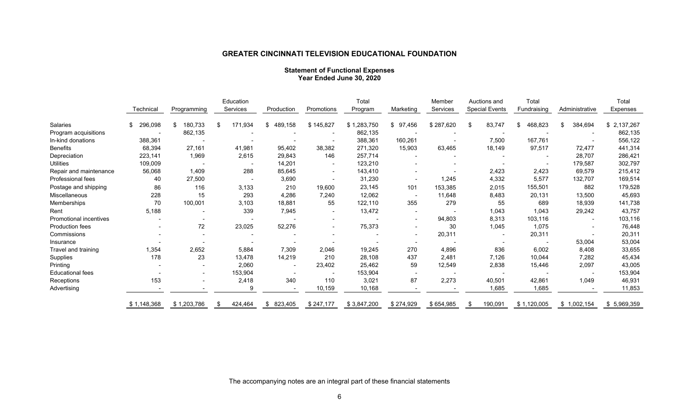|                         | Technical     | Programming              | Education<br>Services    | Production    | Promotions | Total<br>Program | Marketing      | Member<br>Services | Auctions and<br><b>Special Events</b> | Total<br>Fundraising | Administrative | Total<br>Expenses |
|-------------------------|---------------|--------------------------|--------------------------|---------------|------------|------------------|----------------|--------------------|---------------------------------------|----------------------|----------------|-------------------|
| Salaries                | 296,098<br>\$ | 180,733                  | 171,934<br>\$.           | 489,158<br>\$ | \$145,827  | \$1,283,750      | 97,456<br>\$   | \$287,620          | 83,747<br>\$                          | 468,823<br>£.        | 384,694        | \$2,137,267       |
| Program acquisitions    |               | 862,135                  |                          |               |            | 862,135          |                |                    | $\overline{\phantom{a}}$              |                      |                | 862,135           |
| In-kind donations       | 388,361       | $\overline{\phantom{a}}$ |                          |               |            | 388,361          | 160,261        |                    | 7,500                                 | 167,761              |                | 556,122           |
| <b>Benefits</b>         | 68,394        | 27,161                   | 41,981                   | 95,402        | 38,382     | 271,320          | 15,903         | 63,465             | 18,149                                | 97,517               | 72,477         | 441,314           |
| Depreciation            | 223,141       | 1,969                    | 2,615                    | 29,843        | 146        | 257,714          | $\overline{a}$ |                    |                                       |                      | 28,707         | 286,421           |
| <b>Utilities</b>        | 109,009       | $\overline{\phantom{a}}$ | $\overline{\phantom{a}}$ | 14,201        |            | 123,210          |                |                    | $\overline{\phantom{a}}$              |                      | 179,587        | 302,797           |
| Repair and maintenance  | 56,068        | 1,409                    | 288                      | 85,645        |            | 143,410          |                |                    | 2,423                                 | 2,423                | 69,579         | 215,412           |
| Professional fees       | 40            | 27,500                   |                          | 3,690         |            | 31,230           |                | 1,245              | 4,332                                 | 5,577                | 132,707        | 169,514           |
| Postage and shipping    | 86            | 116                      | 3,133                    | 210           | 19,600     | 23,145           | 101            | 153,385            | 2,015                                 | 155,501              | 882            | 179,528           |
| Miscellaneous           | 228           | 15                       | 293                      | 4,286         | 7,240      | 12,062           |                | 11,648             | 8,483                                 | 20,131               | 13,500         | 45,693            |
| Memberships             | 70            | 100,001                  | 3,103                    | 18,881        | 55         | 122,110          | 355            | 279                | 55                                    | 689                  | 18,939         | 141,738           |
| Rent                    | 5,188         |                          | 339                      | 7,945         |            | 13,472           |                |                    | 1,043                                 | 1,043                | 29,242         | 43,757            |
| Promotional incentives  |               |                          |                          |               |            |                  |                | 94,803             | 8,313                                 | 103,116              |                | 103,116           |
| <b>Production fees</b>  |               | 72                       | 23,025                   | 52,276        |            | 75,373           | $\sim$         | 30                 | 1,045                                 | 1,075                |                | 76,448            |
| Commissions             |               | $\blacksquare$           |                          |               |            |                  | $\sim$         | 20,311             | $\sim$                                | 20,311               |                | 20,311            |
| Insurance               |               |                          |                          |               |            |                  |                |                    |                                       |                      | 53,004         | 53,004            |
| Travel and training     | 1,354         | 2,652                    | 5,884                    | 7,309         | 2,046      | 19,245           | 270            | 4,896              | 836                                   | 6,002                | 8,408          | 33,655            |
| Supplies                | 178           | 23                       | 13,478                   | 14,219        | 210        | 28,108           | 437            | 2,481              | 7,126                                 | 10,044               | 7,282          | 45,434            |
| Printing                |               |                          | 2,060                    |               | 23,402     | 25,462           | 59             | 12,549             | 2,838                                 | 15,446               | 2,097          | 43,005            |
| <b>Educational fees</b> |               |                          | 153,904                  |               |            | 153,904          |                |                    |                                       |                      |                | 153,904           |
| Receptions              | 153           |                          | 2,418                    | 340           | 110        | 3,021            | 87             | 2,273              | 40,501                                | 42,861               | 1,049          | 46,931            |
| Advertising             |               |                          | 9                        |               | 10,159     | 10,168           |                |                    | 1,685                                 | 1,685                |                | 11,853            |
|                         | \$1,148,368   | \$1,203,786              | 424,464<br>£.            | \$823,405     | \$247.177  | \$3,847,200      | \$274.929      | \$654,985          | 190,091<br>\$                         | \$1,120,005          | \$1,002,154    | \$5,969,359       |

#### **Statement of Functional Expenses Year Ended June 30, 2020**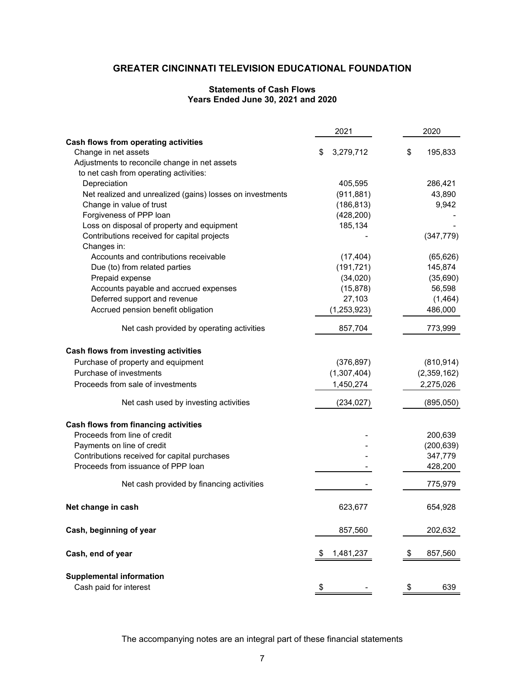## **Statements of Cash Flows Years Ended June 30, 2021 and 2020**

|                                                           | 2021            | 2020          |  |  |
|-----------------------------------------------------------|-----------------|---------------|--|--|
| <b>Cash flows from operating activities</b>               |                 |               |  |  |
| Change in net assets                                      | 3,279,712<br>\$ | \$<br>195,833 |  |  |
| Adjustments to reconcile change in net assets             |                 |               |  |  |
| to net cash from operating activities:                    |                 |               |  |  |
| Depreciation                                              | 405,595         | 286,421       |  |  |
| Net realized and unrealized (gains) losses on investments | (911, 881)      | 43,890        |  |  |
| Change in value of trust                                  | (186, 813)      | 9,942         |  |  |
| Forgiveness of PPP loan                                   | (428, 200)      |               |  |  |
| Loss on disposal of property and equipment                | 185,134         |               |  |  |
| Contributions received for capital projects               |                 | (347, 779)    |  |  |
| Changes in:                                               |                 |               |  |  |
| Accounts and contributions receivable                     | (17, 404)       | (65, 626)     |  |  |
| Due (to) from related parties                             | (191, 721)      | 145,874       |  |  |
| Prepaid expense                                           | (34, 020)       | (35,690)      |  |  |
| Accounts payable and accrued expenses                     | (15, 878)       | 56,598        |  |  |
| Deferred support and revenue                              | 27,103          | (1, 464)      |  |  |
| Accrued pension benefit obligation                        | (1, 253, 923)   | 486,000       |  |  |
| Net cash provided by operating activities                 | 857,704         | 773,999       |  |  |
| Cash flows from investing activities                      |                 |               |  |  |
| Purchase of property and equipment                        | (376, 897)      | (810, 914)    |  |  |
| Purchase of investments                                   | (1,307,404)     | (2,359,162)   |  |  |
| Proceeds from sale of investments                         | 1,450,274       | 2,275,026     |  |  |
| Net cash used by investing activities                     | (234, 027)      | (895,050)     |  |  |
| <b>Cash flows from financing activities</b>               |                 |               |  |  |
| Proceeds from line of credit                              |                 | 200,639       |  |  |
| Payments on line of credit                                |                 | (200, 639)    |  |  |
| Contributions received for capital purchases              |                 | 347,779       |  |  |
| Proceeds from issuance of PPP loan                        |                 | 428,200       |  |  |
| Net cash provided by financing activities                 |                 | 775,979       |  |  |
| Net change in cash                                        | 623,677         | 654,928       |  |  |
| Cash, beginning of year                                   | 857,560         | 202,632       |  |  |
| Cash, end of year                                         | 1,481,237<br>\$ | 857,560<br>\$ |  |  |
| <b>Supplemental information</b>                           |                 |               |  |  |
| Cash paid for interest                                    | \$              | \$<br>639     |  |  |
|                                                           |                 |               |  |  |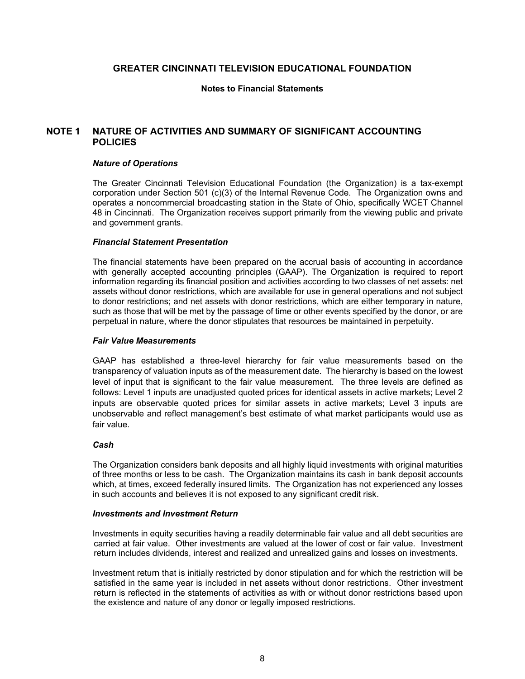#### **Notes to Financial Statements**

## **NOTE 1 NATURE OF ACTIVITIES AND SUMMARY OF SIGNIFICANT ACCOUNTING POLICIES**

#### *Nature of Operations*

The Greater Cincinnati Television Educational Foundation (the Organization) is a tax-exempt corporation under Section 501 (c)(3) of the Internal Revenue Code. The Organization owns and operates a noncommercial broadcasting station in the State of Ohio, specifically WCET Channel 48 in Cincinnati. The Organization receives support primarily from the viewing public and private and government grants.

#### *Financial Statement Presentation*

The financial statements have been prepared on the accrual basis of accounting in accordance with generally accepted accounting principles (GAAP). The Organization is required to report information regarding its financial position and activities according to two classes of net assets: net assets without donor restrictions, which are available for use in general operations and not subject to donor restrictions; and net assets with donor restrictions, which are either temporary in nature, such as those that will be met by the passage of time or other events specified by the donor, or are perpetual in nature, where the donor stipulates that resources be maintained in perpetuity.

#### *Fair Value Measurements*

GAAP has established a three-level hierarchy for fair value measurements based on the transparency of valuation inputs as of the measurement date. The hierarchy is based on the lowest level of input that is significant to the fair value measurement. The three levels are defined as follows: Level 1 inputs are unadjusted quoted prices for identical assets in active markets; Level 2 inputs are observable quoted prices for similar assets in active markets; Level 3 inputs are unobservable and reflect management's best estimate of what market participants would use as fair value.

#### *Cash*

The Organization considers bank deposits and all highly liquid investments with original maturities of three months or less to be cash. The Organization maintains its cash in bank deposit accounts which, at times, exceed federally insured limits. The Organization has not experienced any losses in such accounts and believes it is not exposed to any significant credit risk.

#### *Investments and Investment Return*

 Investments in equity securities having a readily determinable fair value and all debt securities are carried at fair value. Other investments are valued at the lower of cost or fair value. Investment return includes dividends, interest and realized and unrealized gains and losses on investments.

 Investment return that is initially restricted by donor stipulation and for which the restriction will be satisfied in the same year is included in net assets without donor restrictions. Other investment return is reflected in the statements of activities as with or without donor restrictions based upon the existence and nature of any donor or legally imposed restrictions.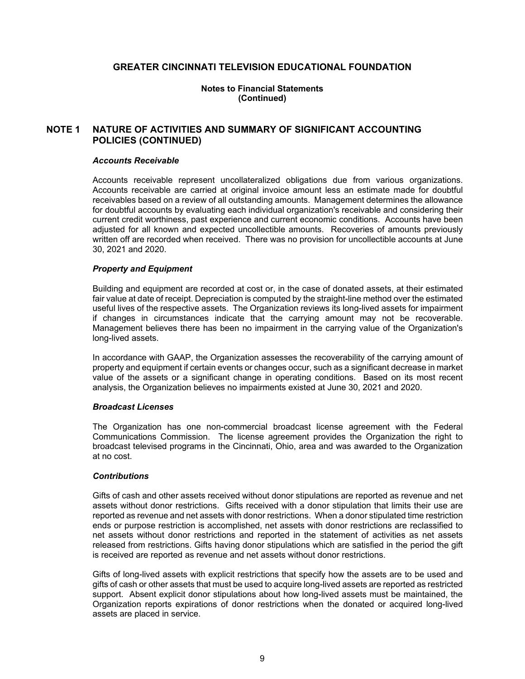#### **Notes to Financial Statements (Continued)**

## **NOTE 1 NATURE OF ACTIVITIES AND SUMMARY OF SIGNIFICANT ACCOUNTING POLICIES (CONTINUED)**

#### *Accounts Receivable*

Accounts receivable represent uncollateralized obligations due from various organizations. Accounts receivable are carried at original invoice amount less an estimate made for doubtful receivables based on a review of all outstanding amounts. Management determines the allowance for doubtful accounts by evaluating each individual organization's receivable and considering their current credit worthiness, past experience and current economic conditions. Accounts have been adjusted for all known and expected uncollectible amounts. Recoveries of amounts previously written off are recorded when received. There was no provision for uncollectible accounts at June 30, 2021 and 2020.

#### *Property and Equipment*

Building and equipment are recorded at cost or, in the case of donated assets, at their estimated fair value at date of receipt. Depreciation is computed by the straight-line method over the estimated useful lives of the respective assets. The Organization reviews its long-lived assets for impairment if changes in circumstances indicate that the carrying amount may not be recoverable. Management believes there has been no impairment in the carrying value of the Organization's long-lived assets.

In accordance with GAAP, the Organization assesses the recoverability of the carrying amount of property and equipment if certain events or changes occur, such as a significant decrease in market value of the assets or a significant change in operating conditions. Based on its most recent analysis, the Organization believes no impairments existed at June 30, 2021 and 2020.

#### *Broadcast Licenses*

The Organization has one non-commercial broadcast license agreement with the Federal Communications Commission. The license agreement provides the Organization the right to broadcast televised programs in the Cincinnati, Ohio, area and was awarded to the Organization at no cost.

#### *Contributions*

Gifts of cash and other assets received without donor stipulations are reported as revenue and net assets without donor restrictions. Gifts received with a donor stipulation that limits their use are reported as revenue and net assets with donor restrictions. When a donor stipulated time restriction ends or purpose restriction is accomplished, net assets with donor restrictions are reclassified to net assets without donor restrictions and reported in the statement of activities as net assets released from restrictions. Gifts having donor stipulations which are satisfied in the period the gift is received are reported as revenue and net assets without donor restrictions.

Gifts of long-lived assets with explicit restrictions that specify how the assets are to be used and gifts of cash or other assets that must be used to acquire long-lived assets are reported as restricted support. Absent explicit donor stipulations about how long-lived assets must be maintained, the Organization reports expirations of donor restrictions when the donated or acquired long-lived assets are placed in service.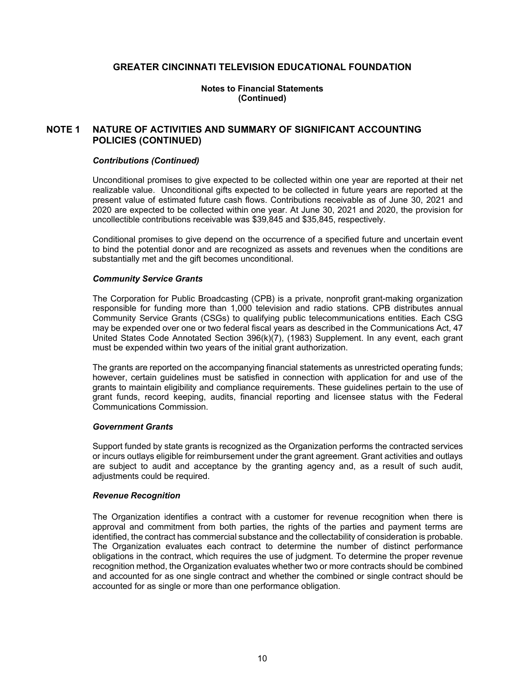#### **Notes to Financial Statements (Continued)**

## **NOTE 1 NATURE OF ACTIVITIES AND SUMMARY OF SIGNIFICANT ACCOUNTING POLICIES (CONTINUED)**

#### *Contributions (Continued)*

Unconditional promises to give expected to be collected within one year are reported at their net realizable value. Unconditional gifts expected to be collected in future years are reported at the present value of estimated future cash flows. Contributions receivable as of June 30, 2021 and 2020 are expected to be collected within one year. At June 30, 2021 and 2020, the provision for uncollectible contributions receivable was \$39,845 and \$35,845, respectively.

Conditional promises to give depend on the occurrence of a specified future and uncertain event to bind the potential donor and are recognized as assets and revenues when the conditions are substantially met and the gift becomes unconditional.

#### *Community Service Grants*

The Corporation for Public Broadcasting (CPB) is a private, nonprofit grant-making organization responsible for funding more than 1,000 television and radio stations. CPB distributes annual Community Service Grants (CSGs) to qualifying public telecommunications entities. Each CSG may be expended over one or two federal fiscal years as described in the Communications Act, 47 United States Code Annotated Section 396(k)(7), (1983) Supplement. In any event, each grant must be expended within two years of the initial grant authorization.

The grants are reported on the accompanying financial statements as unrestricted operating funds; however, certain guidelines must be satisfied in connection with application for and use of the grants to maintain eligibility and compliance requirements. These guidelines pertain to the use of grant funds, record keeping, audits, financial reporting and licensee status with the Federal Communications Commission.

#### *Government Grants*

Support funded by state grants is recognized as the Organization performs the contracted services or incurs outlays eligible for reimbursement under the grant agreement. Grant activities and outlays are subject to audit and acceptance by the granting agency and, as a result of such audit, adjustments could be required.

#### *Revenue Recognition*

The Organization identifies a contract with a customer for revenue recognition when there is approval and commitment from both parties, the rights of the parties and payment terms are identified, the contract has commercial substance and the collectability of consideration is probable. The Organization evaluates each contract to determine the number of distinct performance obligations in the contract, which requires the use of judgment. To determine the proper revenue recognition method, the Organization evaluates whether two or more contracts should be combined and accounted for as one single contract and whether the combined or single contract should be accounted for as single or more than one performance obligation.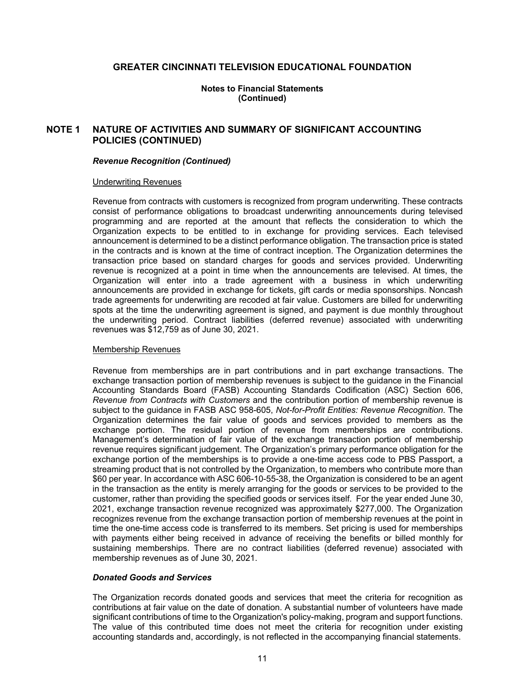#### **Notes to Financial Statements (Continued)**

## **NOTE 1 NATURE OF ACTIVITIES AND SUMMARY OF SIGNIFICANT ACCOUNTING POLICIES (CONTINUED)**

#### *Revenue Recognition (Continued)*

#### Underwriting Revenues

Revenue from contracts with customers is recognized from program underwriting. These contracts consist of performance obligations to broadcast underwriting announcements during televised programming and are reported at the amount that reflects the consideration to which the Organization expects to be entitled to in exchange for providing services. Each televised announcement is determined to be a distinct performance obligation. The transaction price is stated in the contracts and is known at the time of contract inception. The Organization determines the transaction price based on standard charges for goods and services provided. Underwriting revenue is recognized at a point in time when the announcements are televised. At times, the Organization will enter into a trade agreement with a business in which underwriting announcements are provided in exchange for tickets, gift cards or media sponsorships. Noncash trade agreements for underwriting are recoded at fair value. Customers are billed for underwriting spots at the time the underwriting agreement is signed, and payment is due monthly throughout the underwriting period. Contract liabilities (deferred revenue) associated with underwriting revenues was \$12,759 as of June 30, 2021.

#### Membership Revenues

Revenue from memberships are in part contributions and in part exchange transactions. The exchange transaction portion of membership revenues is subject to the guidance in the Financial Accounting Standards Board (FASB) Accounting Standards Codification (ASC) Section 606, *Revenue from Contracts with Customers* and the contribution portion of membership revenue is subject to the guidance in FASB ASC 958-605, *Not-for-Profit Entities: Revenue Recognition*. The Organization determines the fair value of goods and services provided to members as the exchange portion. The residual portion of revenue from memberships are contributions. Management's determination of fair value of the exchange transaction portion of membership revenue requires significant judgement. The Organization's primary performance obligation for the exchange portion of the memberships is to provide a one-time access code to PBS Passport, a streaming product that is not controlled by the Organization, to members who contribute more than \$60 per year. In accordance with ASC 606-10-55-38, the Organization is considered to be an agent in the transaction as the entity is merely arranging for the goods or services to be provided to the customer, rather than providing the specified goods or services itself. For the year ended June 30, 2021, exchange transaction revenue recognized was approximately \$277,000. The Organization recognizes revenue from the exchange transaction portion of membership revenues at the point in time the one-time access code is transferred to its members. Set pricing is used for memberships with payments either being received in advance of receiving the benefits or billed monthly for sustaining memberships. There are no contract liabilities (deferred revenue) associated with membership revenues as of June 30, 2021.

#### *Donated Goods and Services*

The Organization records donated goods and services that meet the criteria for recognition as contributions at fair value on the date of donation. A substantial number of volunteers have made significant contributions of time to the Organization's policy-making, program and support functions. The value of this contributed time does not meet the criteria for recognition under existing accounting standards and, accordingly, is not reflected in the accompanying financial statements.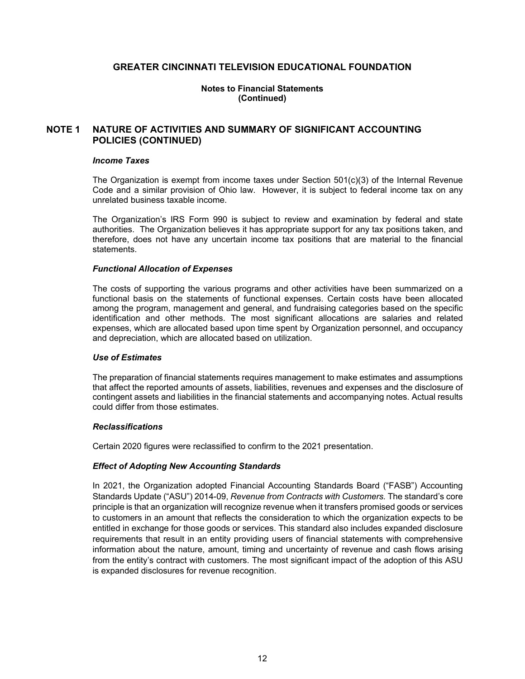#### **Notes to Financial Statements (Continued)**

## **NOTE 1 NATURE OF ACTIVITIES AND SUMMARY OF SIGNIFICANT ACCOUNTING POLICIES (CONTINUED)**

#### *Income Taxes*

The Organization is exempt from income taxes under Section 501(c)(3) of the Internal Revenue Code and a similar provision of Ohio law. However, it is subject to federal income tax on any unrelated business taxable income.

The Organization's IRS Form 990 is subject to review and examination by federal and state authorities. The Organization believes it has appropriate support for any tax positions taken, and therefore, does not have any uncertain income tax positions that are material to the financial statements.

#### *Functional Allocation of Expenses*

The costs of supporting the various programs and other activities have been summarized on a functional basis on the statements of functional expenses. Certain costs have been allocated among the program, management and general, and fundraising categories based on the specific identification and other methods. The most significant allocations are salaries and related expenses, which are allocated based upon time spent by Organization personnel, and occupancy and depreciation, which are allocated based on utilization.

#### *Use of Estimates*

The preparation of financial statements requires management to make estimates and assumptions that affect the reported amounts of assets, liabilities, revenues and expenses and the disclosure of contingent assets and liabilities in the financial statements and accompanying notes. Actual results could differ from those estimates.

#### *Reclassifications*

Certain 2020 figures were reclassified to confirm to the 2021 presentation.

#### *Effect of Adopting New Accounting Standards*

In 2021, the Organization adopted Financial Accounting Standards Board ("FASB") Accounting Standards Update ("ASU") 2014-09, *Revenue from Contracts with Customers.* The standard's core principle is that an organization will recognize revenue when it transfers promised goods or services to customers in an amount that reflects the consideration to which the organization expects to be entitled in exchange for those goods or services. This standard also includes expanded disclosure requirements that result in an entity providing users of financial statements with comprehensive information about the nature, amount, timing and uncertainty of revenue and cash flows arising from the entity's contract with customers. The most significant impact of the adoption of this ASU is expanded disclosures for revenue recognition.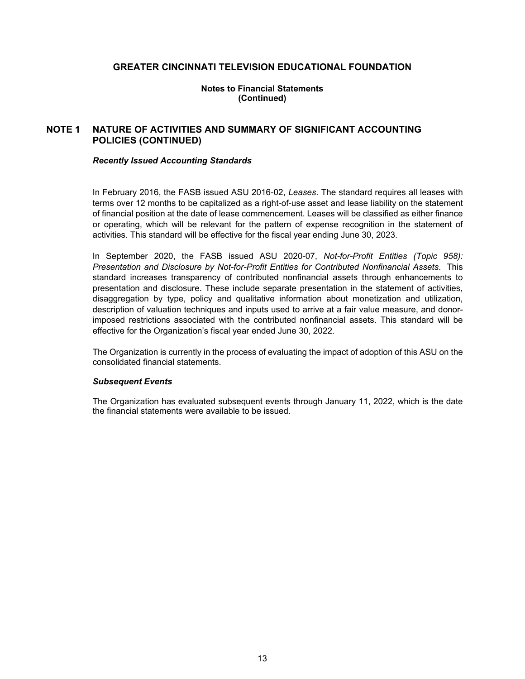## **Notes to Financial Statements (Continued)**

## **NOTE 1 NATURE OF ACTIVITIES AND SUMMARY OF SIGNIFICANT ACCOUNTING POLICIES (CONTINUED)**

#### *Recently Issued Accounting Standards*

In February 2016, the FASB issued ASU 2016-02, *Leases*. The standard requires all leases with terms over 12 months to be capitalized as a right-of-use asset and lease liability on the statement of financial position at the date of lease commencement. Leases will be classified as either finance or operating, which will be relevant for the pattern of expense recognition in the statement of activities. This standard will be effective for the fiscal year ending June 30, 2023.

In September 2020, the FASB issued ASU 2020-07, *Not-for-Profit Entities (Topic 958): Presentation and Disclosure by Not-for-Profit Entities for Contributed Nonfinancial Assets*. This standard increases transparency of contributed nonfinancial assets through enhancements to presentation and disclosure. These include separate presentation in the statement of activities, disaggregation by type, policy and qualitative information about monetization and utilization, description of valuation techniques and inputs used to arrive at a fair value measure, and donorimposed restrictions associated with the contributed nonfinancial assets. This standard will be effective for the Organization's fiscal year ended June 30, 2022.

The Organization is currently in the process of evaluating the impact of adoption of this ASU on the consolidated financial statements.

#### *Subsequent Events*

The Organization has evaluated subsequent events through January 11, 2022, which is the date the financial statements were available to be issued.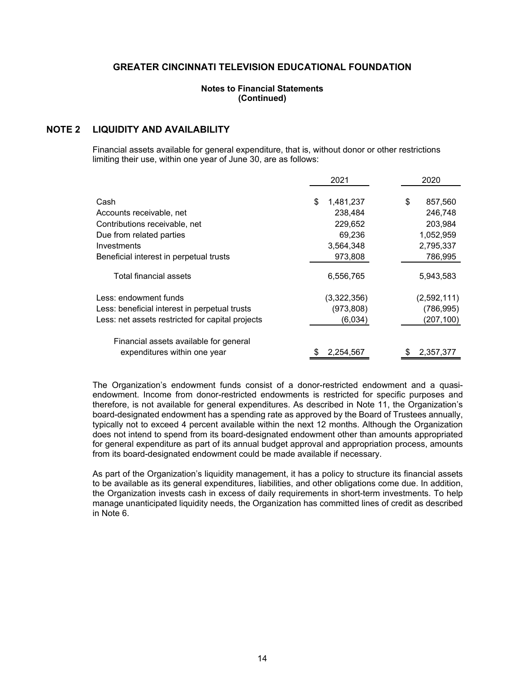#### **Notes to Financial Statements (Continued)**

## **NOTE 2 LIQUIDITY AND AVAILABILITY**

Financial assets available for general expenditure, that is, without donor or other restrictions limiting their use, within one year of June 30, are as follows:

|                                                  | 2021            | 2020          |
|--------------------------------------------------|-----------------|---------------|
| Cash                                             | \$<br>1,481,237 | \$<br>857,560 |
| Accounts receivable, net                         | 238,484         | 246.748       |
| Contributions receivable, net                    | 229,652         | 203,984       |
| Due from related parties                         | 69,236          | 1,052,959     |
| Investments                                      | 3,564,348       | 2,795,337     |
| Beneficial interest in perpetual trusts          | 973.808         | 786,995       |
| Total financial assets                           | 6,556,765       | 5,943,583     |
| Less: endowment funds                            | (3,322,356)     | (2,592,111)   |
| Less: beneficial interest in perpetual trusts    | (973, 808)      | (786, 995)    |
| Less: net assets restricted for capital projects | (6,034)         | (207, 100)    |
| Financial assets available for general           |                 |               |
| expenditures within one year                     | 2,254,567       | 2,357,377     |

The Organization's endowment funds consist of a donor-restricted endowment and a quasiendowment. Income from donor-restricted endowments is restricted for specific purposes and therefore, is not available for general expenditures. As described in Note 11, the Organization's board-designated endowment has a spending rate as approved by the Board of Trustees annually, typically not to exceed 4 percent available within the next 12 months. Although the Organization does not intend to spend from its board-designated endowment other than amounts appropriated for general expenditure as part of its annual budget approval and appropriation process, amounts from its board-designated endowment could be made available if necessary.

As part of the Organization's liquidity management, it has a policy to structure its financial assets to be available as its general expenditures, liabilities, and other obligations come due. In addition, the Organization invests cash in excess of daily requirements in short-term investments. To help manage unanticipated liquidity needs, the Organization has committed lines of credit as described in Note 6.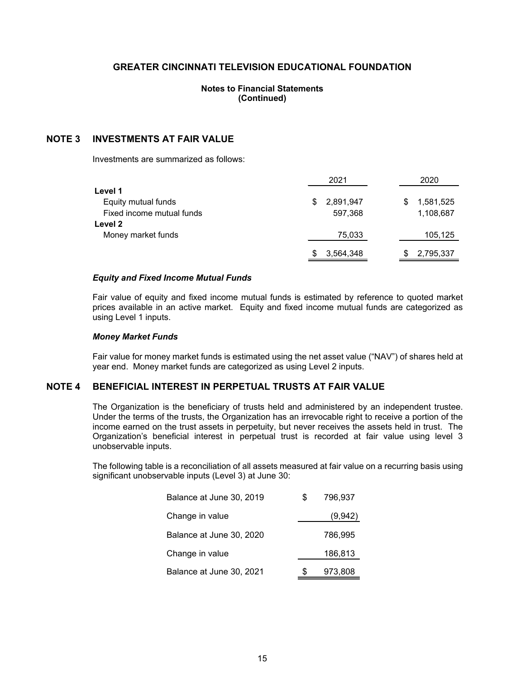#### **Notes to Financial Statements (Continued)**

## **NOTE 3 INVESTMENTS AT FAIR VALUE**

Investments are summarized as follows:

|                           | 2021            | 2020            |
|---------------------------|-----------------|-----------------|
| Level 1                   |                 |                 |
| Equity mutual funds       | 2,891,947<br>\$ | 1,581,525<br>\$ |
| Fixed income mutual funds | 597,368         | 1,108,687       |
| Level 2                   |                 |                 |
| Money market funds        | 75,033          | 105,125         |
|                           | 3,564,348       | 2,795,337       |

#### *Equity and Fixed Income Mutual Funds*

Fair value of equity and fixed income mutual funds is estimated by reference to quoted market prices available in an active market. Equity and fixed income mutual funds are categorized as using Level 1 inputs.

#### *Money Market Funds*

Fair value for money market funds is estimated using the net asset value ("NAV") of shares held at year end. Money market funds are categorized as using Level 2 inputs.

## **NOTE 4 BENEFICIAL INTEREST IN PERPETUAL TRUSTS AT FAIR VALUE**

The Organization is the beneficiary of trusts held and administered by an independent trustee. Under the terms of the trusts, the Organization has an irrevocable right to receive a portion of the income earned on the trust assets in perpetuity, but never receives the assets held in trust. The Organization's beneficial interest in perpetual trust is recorded at fair value using level 3 unobservable inputs.

The following table is a reconciliation of all assets measured at fair value on a recurring basis using significant unobservable inputs (Level 3) at June 30:

| Balance at June 30, 2019 | 796.937 |
|--------------------------|---------|
| Change in value          | (9,942) |
| Balance at June 30, 2020 | 786.995 |
| Change in value          | 186,813 |
| Balance at June 30, 2021 | 973,808 |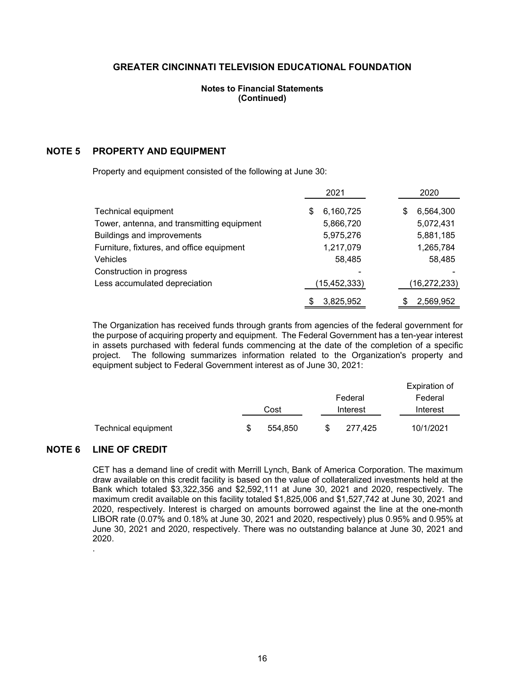#### **Notes to Financial Statements (Continued)**

## **NOTE 5 PROPERTY AND EQUIPMENT**

Property and equipment consisted of the following at June 30:

|                                            | 2021           | 2020         |
|--------------------------------------------|----------------|--------------|
| Technical equipment                        | 6,160,725<br>S | 6,564,300    |
| Tower, antenna, and transmitting equipment | 5,866,720      | 5,072,431    |
| <b>Buildings and improvements</b>          | 5,975,276      | 5,881,185    |
| Furniture, fixtures, and office equipment  | 1,217,079      | 1,265,784    |
| Vehicles                                   | 58,485         | 58,485       |
| Construction in progress                   |                |              |
| Less accumulated depreciation              | (15,452,333)   | (16,272,233) |
|                                            | 3,825,952<br>S | 2,569,952    |

The Organization has received funds through grants from agencies of the federal government for the purpose of acquiring property and equipment. The Federal Government has a ten-year interest in assets purchased with federal funds commencing at the date of the completion of a specific project. The following summarizes information related to the Organization's property and equipment subject to Federal Government interest as of June 30, 2021:

|                     |                  |     |          | <b>Expiration of</b> |
|---------------------|------------------|-----|----------|----------------------|
|                     |                  |     | Federal  | Federal              |
|                     | Cost<br>Interest |     | Interest |                      |
| Technical equipment | 554.850          | \$. | 277.425  | 10/1/2021            |

## **NOTE 6 LINE OF CREDIT**

.

CET has a demand line of credit with Merrill Lynch, Bank of America Corporation. The maximum draw available on this credit facility is based on the value of collateralized investments held at the Bank which totaled \$3,322,356 and \$2,592,111 at June 30, 2021 and 2020, respectively. The maximum credit available on this facility totaled \$1,825,006 and \$1,527,742 at June 30, 2021 and 2020, respectively. Interest is charged on amounts borrowed against the line at the one-month LIBOR rate (0.07% and 0.18% at June 30, 2021 and 2020, respectively) plus 0.95% and 0.95% at June 30, 2021 and 2020, respectively. There was no outstanding balance at June 30, 2021 and 2020.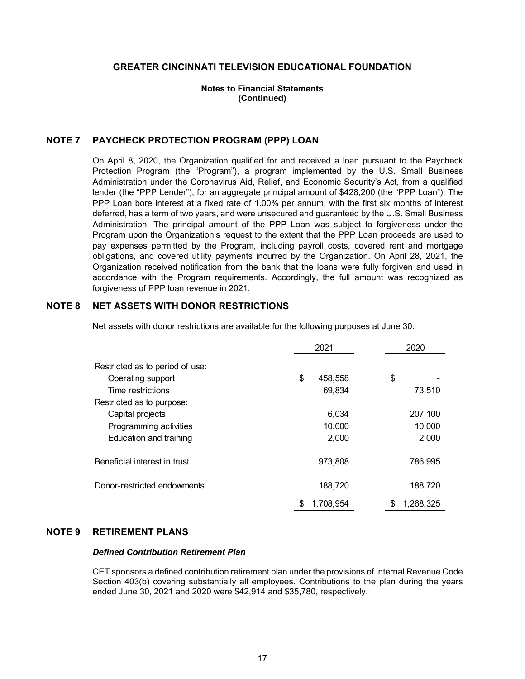#### **Notes to Financial Statements (Continued)**

## **NOTE 7 PAYCHECK PROTECTION PROGRAM (PPP) LOAN**

On April 8, 2020, the Organization qualified for and received a loan pursuant to the Paycheck Protection Program (the "Program"), a program implemented by the U.S. Small Business Administration under the Coronavirus Aid, Relief, and Economic Security's Act, from a qualified lender (the "PPP Lender"), for an aggregate principal amount of \$428,200 (the "PPP Loan"). The PPP Loan bore interest at a fixed rate of 1.00% per annum, with the first six months of interest deferred, has a term of two years, and were unsecured and guaranteed by the U.S. Small Business Administration. The principal amount of the PPP Loan was subject to forgiveness under the Program upon the Organization's request to the extent that the PPP Loan proceeds are used to pay expenses permitted by the Program, including payroll costs, covered rent and mortgage obligations, and covered utility payments incurred by the Organization. On April 28, 2021, the Organization received notification from the bank that the loans were fully forgiven and used in accordance with the Program requirements. Accordingly, the full amount was recognized as forgiveness of PPP loan revenue in 2021.

## **NOTE 8 NET ASSETS WITH DONOR RESTRICTIONS**

Net assets with donor restrictions are available for the following purposes at June 30:

|                                 | 2021 |           | 2020            |  |
|---------------------------------|------|-----------|-----------------|--|
| Restricted as to period of use: |      |           |                 |  |
| Operating support               | \$   | 458,558   | \$              |  |
| Time restrictions               |      | 69,834    | 73,510          |  |
| Restricted as to purpose:       |      |           |                 |  |
| Capital projects                |      | 6,034     | 207,100         |  |
| Programming activities          |      | 10,000    | 10,000          |  |
| Education and training          |      | 2,000     | 2,000           |  |
| Beneficial interest in trust    |      | 973,808   | 786,995         |  |
| Donor-restricted endowments     |      | 188,720   | 188,720         |  |
|                                 |      | 1,708,954 | \$<br>1,268,325 |  |

#### **NOTE 9 RETIREMENT PLANS**

#### *Defined Contribution Retirement Plan*

CET sponsors a defined contribution retirement plan under the provisions of Internal Revenue Code Section 403(b) covering substantially all employees. Contributions to the plan during the years ended June 30, 2021 and 2020 were \$42,914 and \$35,780, respectively.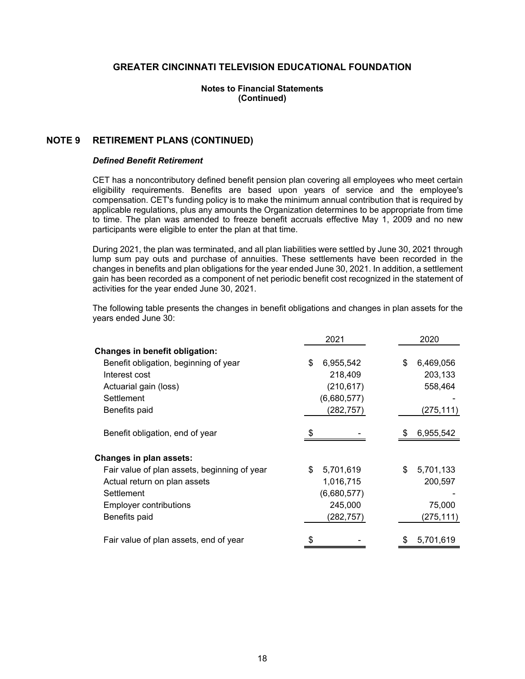#### **Notes to Financial Statements (Continued)**

## **NOTE 9 RETIREMENT PLANS (CONTINUED)**

#### *Defined Benefit Retirement*

CET has a noncontributory defined benefit pension plan covering all employees who meet certain eligibility requirements. Benefits are based upon years of service and the employee's compensation. CET's funding policy is to make the minimum annual contribution that is required by applicable regulations, plus any amounts the Organization determines to be appropriate from time to time. The plan was amended to freeze benefit accruals effective May 1, 2009 and no new participants were eligible to enter the plan at that time.

During 2021, the plan was terminated, and all plan liabilities were settled by June 30, 2021 through lump sum pay outs and purchase of annuities. These settlements have been recorded in the changes in benefits and plan obligations for the year ended June 30, 2021. In addition, a settlement gain has been recorded as a component of net periodic benefit cost recognized in the statement of activities for the year ended June 30, 2021.

The following table presents the changes in benefit obligations and changes in plan assets for the years ended June 30:

|                                              | 2021            | 2020 |            |
|----------------------------------------------|-----------------|------|------------|
| <b>Changes in benefit obligation:</b>        |                 |      |            |
| Benefit obligation, beginning of year        | \$<br>6,955,542 | \$   | 6,469,056  |
| Interest cost                                | 218,409         |      | 203,133    |
| Actuarial gain (loss)                        | (210, 617)      |      | 558,464    |
| Settlement                                   | (6,680,577)     |      |            |
| Benefits paid                                | (282,757)       |      | (275, 111) |
| Benefit obligation, end of year              |                 |      | 6,955,542  |
| Changes in plan assets:                      |                 |      |            |
| Fair value of plan assets, beginning of year | 5,701,619<br>\$ | \$   | 5,701,133  |
| Actual return on plan assets                 | 1,016,715       |      | 200,597    |
| Settlement                                   | (6,680,577)     |      |            |
| <b>Employer contributions</b>                | 245,000         |      | 75,000     |
| Benefits paid                                | (282, 757)      |      | (275, 111) |
| Fair value of plan assets, end of year       |                 |      | 5,701,619  |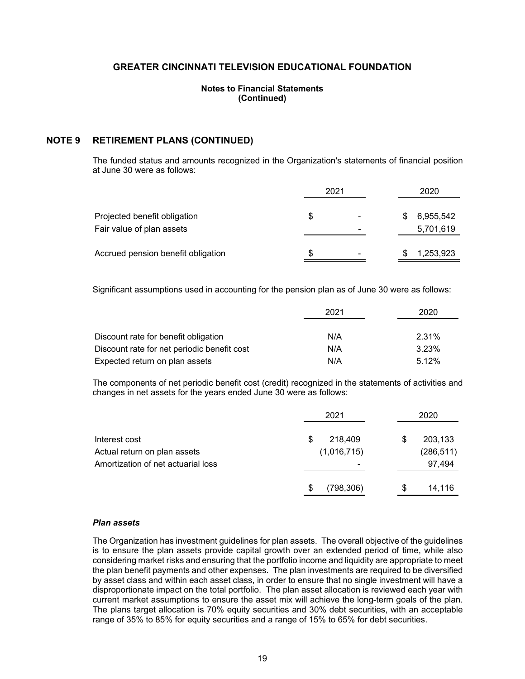#### **Notes to Financial Statements (Continued)**

## **NOTE 9 RETIREMENT PLANS (CONTINUED)**

The funded status and amounts recognized in the Organization's statements of financial position at June 30 were as follows:

|                                                           |   | 2021 |   |                        |
|-----------------------------------------------------------|---|------|---|------------------------|
| Projected benefit obligation<br>Fair value of plan assets | S |      | S | 6,955,542<br>5,701,619 |
| Accrued pension benefit obligation                        | S | -    |   | 1,253,923              |

Significant assumptions used in accounting for the pension plan as of June 30 were as follows:

|                                             | 2021 | 2020  |
|---------------------------------------------|------|-------|
|                                             |      |       |
| Discount rate for benefit obligation        | N/A  | 2.31% |
| Discount rate for net periodic benefit cost | N/A  | 3.23% |
| Expected return on plan assets              | N/A  | 5.12% |

The components of net periodic benefit cost (credit) recognized in the statements of activities and changes in net assets for the years ended June 30 were as follows:

| 2021                               |                 | 2020         |
|------------------------------------|-----------------|--------------|
| Interest cost                      | 218,409<br>S    | 203,133<br>S |
| Actual return on plan assets       | (1,016,715)     | (286, 511)   |
| Amortization of net actuarial loss | -               | 97,494       |
|                                    | (798, 306)<br>S | 14,116<br>S  |

#### *Plan assets*

The Organization has investment guidelines for plan assets. The overall objective of the guidelines is to ensure the plan assets provide capital growth over an extended period of time, while also considering market risks and ensuring that the portfolio income and liquidity are appropriate to meet the plan benefit payments and other expenses. The plan investments are required to be diversified by asset class and within each asset class, in order to ensure that no single investment will have a disproportionate impact on the total portfolio. The plan asset allocation is reviewed each year with current market assumptions to ensure the asset mix will achieve the long-term goals of the plan. The plans target allocation is 70% equity securities and 30% debt securities, with an acceptable range of 35% to 85% for equity securities and a range of 15% to 65% for debt securities.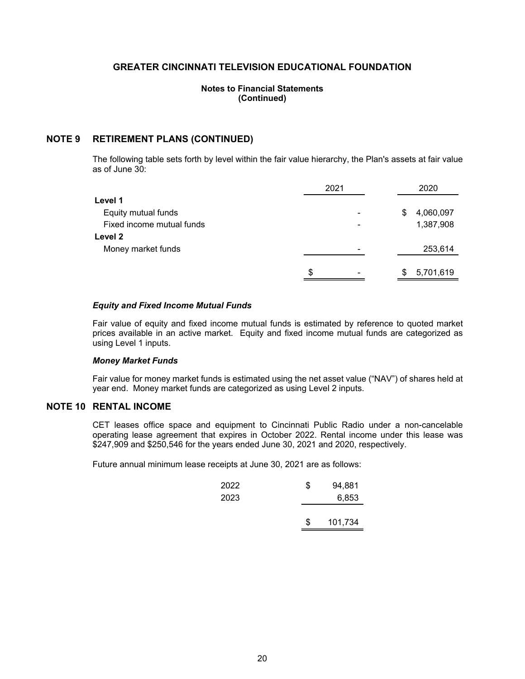#### **Notes to Financial Statements (Continued)**

## **NOTE 9 RETIREMENT PLANS (CONTINUED)**

The following table sets forth by level within the fair value hierarchy, the Plan's assets at fair value as of June 30:

|                           | 2021 |   |    | 2020      |
|---------------------------|------|---|----|-----------|
| Level 1                   |      |   |    |           |
| Equity mutual funds       |      | ٠ | \$ | 4,060,097 |
| Fixed income mutual funds |      | ٠ |    | 1,387,908 |
| Level 2                   |      |   |    |           |
| Money market funds        |      | - |    | 253,614   |
|                           |      |   |    |           |
|                           | \$   | ۰ | S  | 5,701,619 |

#### *Equity and Fixed Income Mutual Funds*

Fair value of equity and fixed income mutual funds is estimated by reference to quoted market prices available in an active market. Equity and fixed income mutual funds are categorized as using Level 1 inputs.

#### *Money Market Funds*

Fair value for money market funds is estimated using the net asset value ("NAV") of shares held at year end. Money market funds are categorized as using Level 2 inputs.

## **NOTE 10 RENTAL INCOME**

CET leases office space and equipment to Cincinnati Public Radio under a non-cancelable operating lease agreement that expires in October 2022. Rental income under this lease was \$247,909 and \$250,546 for the years ended June 30, 2021 and 2020, respectively.

Future annual minimum lease receipts at June 30, 2021 are as follows:

| 2022 | \$<br>94,881  |
|------|---------------|
| 2023 | 6,853         |
|      |               |
|      | \$<br>101,734 |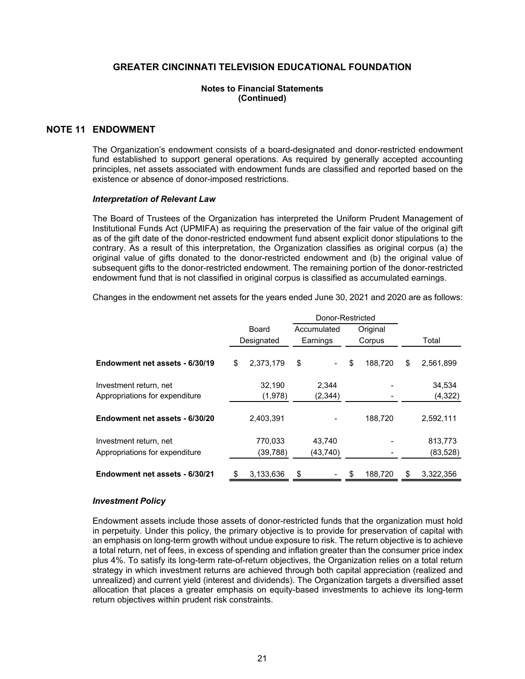#### **Notes to Financial Statements (Continued)**

## **NOTE 11 ENDOWMENT**

The Organization's endowment consists of a board-designated and donor-restricted endowment fund established to support general operations. As required by generally accepted accounting principles, net assets associated with endowment funds are classified and reported based on the existence or absence of donor-imposed restrictions.

#### *Interpretation of Relevant Law*

The Board of Trustees of the Organization has interpreted the Uniform Prudent Management of Institutional Funds Act (UPMIFA) as requiring the preservation of the fair value of the original gift as of the gift date of the donor-restricted endowment fund absent explicit donor stipulations to the contrary. As a result of this interpretation, the Organization classifies as original corpus (a) the original value of gifts donated to the donor-restricted endowment and (b) the original value of subsequent gifts to the donor-restricted endowment. The remaining portion of the donor-restricted endowment fund that is not classified in original corpus is classified as accumulated earnings.

Changes in the endowment net assets for the years ended June 30, 2021 and 2020 are as follows:

|                                                          |                      | Donor-Restricted |                     |          |         |                    |
|----------------------------------------------------------|----------------------|------------------|---------------------|----------|---------|--------------------|
|                                                          | Board                |                  | Accumulated         | Original |         |                    |
|                                                          | Designated           | Earnings         |                     | Corpus   |         | Total              |
| Endowment net assets - 6/30/19                           | \$<br>2.373.179      | \$               |                     | \$       | 188,720 | \$<br>2,561,899    |
| Investment return, net<br>Appropriations for expenditure | 32,190<br>(1,978)    |                  | 2,344<br>(2, 344)   |          |         | 34,534<br>(4, 322) |
| Endowment net assets - 6/30/20                           | 2,403,391            |                  |                     |          | 188,720 | 2,592,111          |
| Investment return, net<br>Appropriations for expenditure | 770.033<br>(39, 788) |                  | 43.740<br>(43, 740) |          |         | 813,773            |
|                                                          |                      |                  |                     |          |         | (83, 528)          |
| Endowment net assets - 6/30/21                           | \$<br>3,133,636      | \$               |                     | \$       | 188,720 | \$<br>3,322,356    |

#### *Investment Policy*

Endowment assets include those assets of donor-restricted funds that the organization must hold in perpetuity. Under this policy, the primary objective is to provide for preservation of capital with an emphasis on long-term growth without undue exposure to risk. The return objective is to achieve a total return, net of fees, in excess of spending and inflation greater than the consumer price index plus 4%. To satisfy its long-term rate-of-return objectives, the Organization relies on a total return strategy in which investment returns are achieved through both capital appreciation (realized and unrealized) and current yield (interest and dividends). The Organization targets a diversified asset allocation that places a greater emphasis on equity-based investments to achieve its long-term return objectives within prudent risk constraints.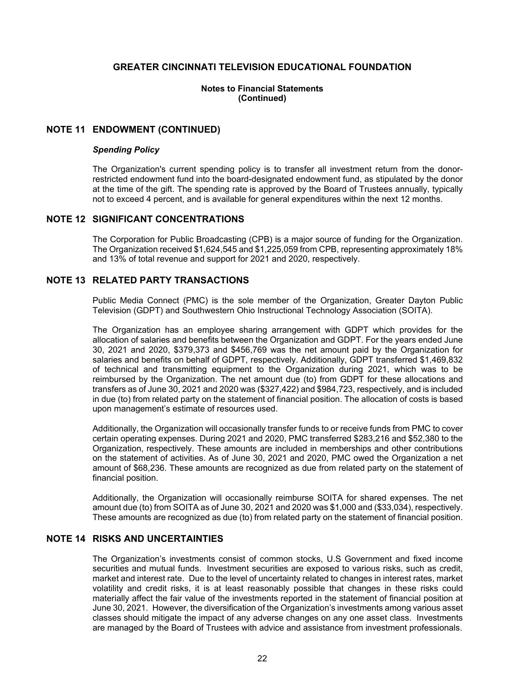#### **Notes to Financial Statements (Continued)**

## **NOTE 11 ENDOWMENT (CONTINUED)**

#### *Spending Policy*

The Organization's current spending policy is to transfer all investment return from the donorrestricted endowment fund into the board-designated endowment fund, as stipulated by the donor at the time of the gift. The spending rate is approved by the Board of Trustees annually, typically not to exceed 4 percent, and is available for general expenditures within the next 12 months.

## **NOTE 12 SIGNIFICANT CONCENTRATIONS**

The Corporation for Public Broadcasting (CPB) is a major source of funding for the Organization. The Organization received \$1,624,545 and \$1,225,059 from CPB, representing approximately 18% and 13% of total revenue and support for 2021 and 2020, respectively.

## **NOTE 13 RELATED PARTY TRANSACTIONS**

Public Media Connect (PMC) is the sole member of the Organization, Greater Dayton Public Television (GDPT) and Southwestern Ohio Instructional Technology Association (SOITA).

The Organization has an employee sharing arrangement with GDPT which provides for the allocation of salaries and benefits between the Organization and GDPT. For the years ended June 30, 2021 and 2020, \$379,373 and \$456,769 was the net amount paid by the Organization for salaries and benefits on behalf of GDPT, respectively. Additionally, GDPT transferred \$1,469,832 of technical and transmitting equipment to the Organization during 2021, which was to be reimbursed by the Organization. The net amount due (to) from GDPT for these allocations and transfers as of June 30, 2021 and 2020 was (\$327,422) and \$984,723, respectively, and is included in due (to) from related party on the statement of financial position. The allocation of costs is based upon management's estimate of resources used.

Additionally, the Organization will occasionally transfer funds to or receive funds from PMC to cover certain operating expenses. During 2021 and 2020, PMC transferred \$283,216 and \$52,380 to the Organization, respectively. These amounts are included in memberships and other contributions on the statement of activities. As of June 30, 2021 and 2020, PMC owed the Organization a net amount of \$68,236. These amounts are recognized as due from related party on the statement of financial position.

Additionally, the Organization will occasionally reimburse SOITA for shared expenses. The net amount due (to) from SOITA as of June 30, 2021 and 2020 was \$1,000 and (\$33,034), respectively. These amounts are recognized as due (to) from related party on the statement of financial position.

#### **NOTE 14 RISKS AND UNCERTAINTIES**

The Organization's investments consist of common stocks, U.S Government and fixed income securities and mutual funds. Investment securities are exposed to various risks, such as credit, market and interest rate. Due to the level of uncertainty related to changes in interest rates, market volatility and credit risks, it is at least reasonably possible that changes in these risks could materially affect the fair value of the investments reported in the statement of financial position at June 30, 2021. However, the diversification of the Organization's investments among various asset classes should mitigate the impact of any adverse changes on any one asset class. Investments are managed by the Board of Trustees with advice and assistance from investment professionals.